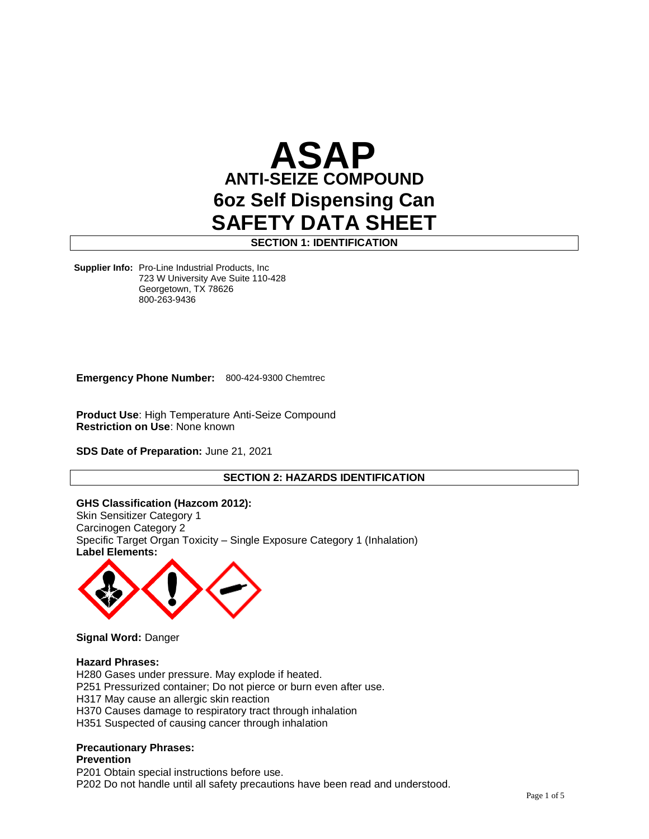

**SECTION 1: IDENTIFICATION**

**Supplier Info:** Pro-Line Industrial Products, Inc 723 W University Ave Suite 110-428 Georgetown, TX 78626<br>999.363.9436  $000 - 200 - 9 + 00$ 800-263-9436

**Emergency Phone Number:** 800-424-9300 Chemtrec

**Product Use**: High Temperature Anti-Seize Compound **Restriction on Use**: None known

**SDS Date of Preparation:** June 21, 2021

# **SECTION 2: HAZARDS IDENTIFICATION**

**GHS Classification (Hazcom 2012):** Skin Sensitizer Category 1 Carcinogen Category 2 Specific Target Organ Toxicity – Single Exposure Category 1 (Inhalation) **Label Elements:**



**Signal Word:** Danger

#### **Hazard Phrases:**

H280 Gases under pressure. May explode if heated. P251 Pressurized container; Do not pierce or burn even after use. H317 May cause an allergic skin reaction H370 Causes damage to respiratory tract through inhalation H351 Suspected of causing cancer through inhalation

# **Precautionary Phrases:**

**Prevention**

P201 Obtain special instructions before use.

P202 Do not handle until all safety precautions have been read and understood.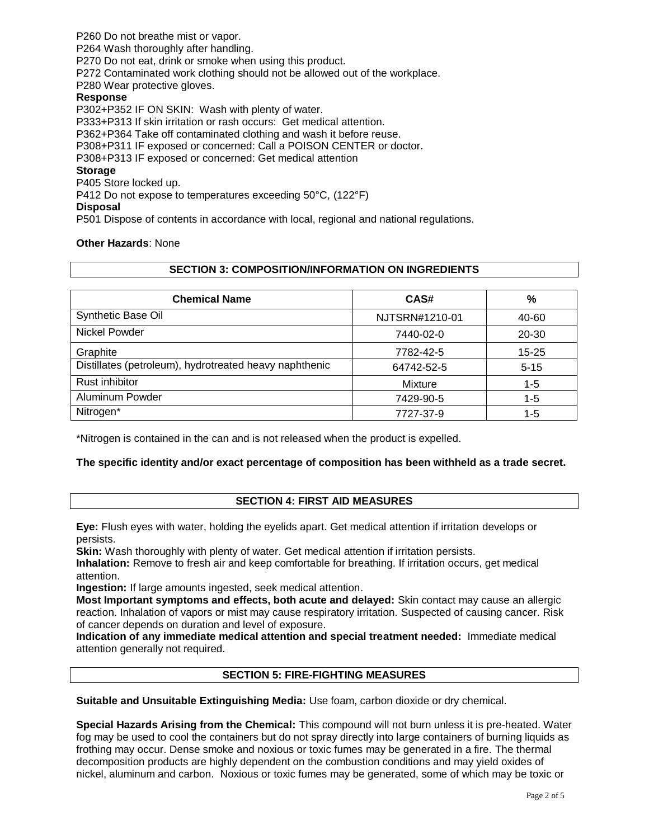P260 Do not breathe mist or vapor. P264 Wash thoroughly after handling. P270 Do not eat, drink or smoke when using this product. P272 Contaminated work clothing should not be allowed out of the workplace. P280 Wear protective gloves. **Response** P302+P352 IF ON SKIN: Wash with plenty of water. P333+P313 If skin irritation or rash occurs: Get medical attention. P362+P364 Take off contaminated clothing and wash it before reuse. P308+P311 IF exposed or concerned: Call a POISON CENTER or doctor. P308+P313 IF exposed or concerned: Get medical attention **Storage** P405 Store locked up. P412 Do not expose to temperatures exceeding 50°C, (122°F) **Disposal** P501 Dispose of contents in accordance with local, regional and national regulations.

**Other Hazards**: None

#### **SECTION 3: COMPOSITION/INFORMATION ON INGREDIENTS**

| <b>Chemical Name</b>                                   | CAS#           | %         |
|--------------------------------------------------------|----------------|-----------|
| Synthetic Base Oil                                     | NJTSRN#1210-01 | 40-60     |
| Nickel Powder                                          | 7440-02-0      | 20-30     |
| Graphite                                               | 7782-42-5      | $15 - 25$ |
| Distillates (petroleum), hydrotreated heavy naphthenic | 64742-52-5     | $5 - 15$  |
| Rust inhibitor                                         | Mixture        | $1 - 5$   |
| Aluminum Powder                                        | 7429-90-5      | $1 - 5$   |
| Nitrogen*                                              | 7727-37-9      | $1 - 5$   |

\*Nitrogen is contained in the can and is not released when the product is expelled.

# **The specific identity and/or exact percentage of composition has been withheld as a trade secret.**

# **SECTION 4: FIRST AID MEASURES**

**Eye:** Flush eyes with water, holding the eyelids apart. Get medical attention if irritation develops or persists.

**Skin:** Wash thoroughly with plenty of water. Get medical attention if irritation persists.

**Inhalation:** Remove to fresh air and keep comfortable for breathing. If irritation occurs, get medical attention.

**Ingestion:** If large amounts ingested, seek medical attention.

**Most Important symptoms and effects, both acute and delayed:** Skin contact may cause an allergic reaction. Inhalation of vapors or mist may cause respiratory irritation. Suspected of causing cancer. Risk of cancer depends on duration and level of exposure.

**Indication of any immediate medical attention and special treatment needed:** Immediate medical attention generally not required.

# **SECTION 5: FIRE-FIGHTING MEASURES**

**Suitable and Unsuitable Extinguishing Media:** Use foam, carbon dioxide or dry chemical.

**Special Hazards Arising from the Chemical:** This compound will not burn unless it is pre-heated. Water fog may be used to cool the containers but do not spray directly into large containers of burning liquids as frothing may occur. Dense smoke and noxious or toxic fumes may be generated in a fire. The thermal decomposition products are highly dependent on the combustion conditions and may yield oxides of nickel, aluminum and carbon. Noxious or toxic fumes may be generated, some of which may be toxic or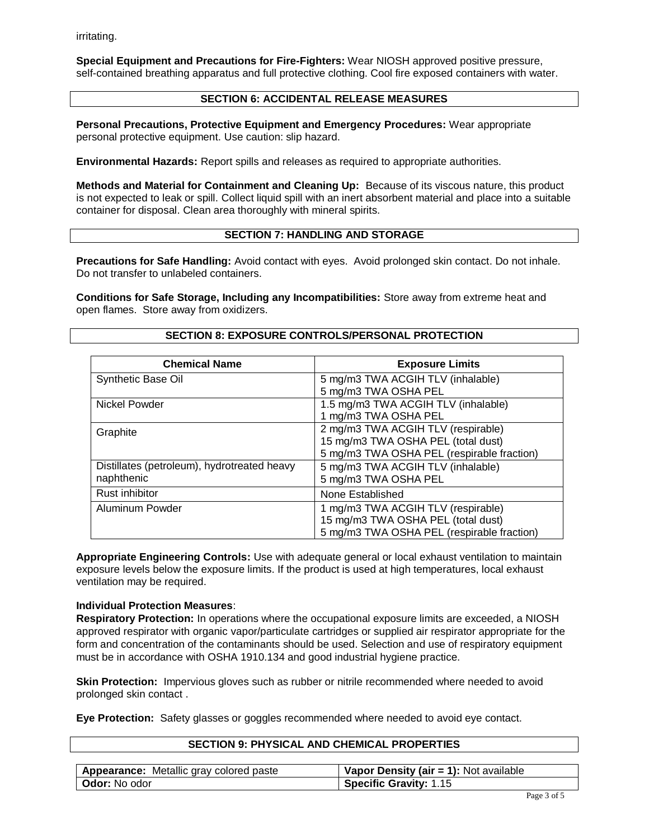irritating.

**Special Equipment and Precautions for Fire-Fighters:** Wear NIOSH approved positive pressure, self-contained breathing apparatus and full protective clothing. Cool fire exposed containers with water.

# **SECTION 6: ACCIDENTAL RELEASE MEASURES**

**Personal Precautions, Protective Equipment and Emergency Procedures:** Wear appropriate personal protective equipment. Use caution: slip hazard.

**Environmental Hazards:** Report spills and releases as required to appropriate authorities.

**Methods and Material for Containment and Cleaning Up:** Because of its viscous nature, this product is not expected to leak or spill. Collect liquid spill with an inert absorbent material and place into a suitable container for disposal. Clean area thoroughly with mineral spirits.

# **SECTION 7: HANDLING AND STORAGE**

**Precautions for Safe Handling:** Avoid contact with eyes. Avoid prolonged skin contact. Do not inhale. Do not transfer to unlabeled containers.

**Conditions for Safe Storage, Including any Incompatibilities:** Store away from extreme heat and open flames. Store away from oxidizers.

**SECTION 8: EXPOSURE CONTROLS/PERSONAL PROTECTION**

| <b>Chemical Name</b>                        | <b>Exposure Limits</b>                     |
|---------------------------------------------|--------------------------------------------|
| Synthetic Base Oil                          | 5 mg/m3 TWA ACGIH TLV (inhalable)          |
|                                             | 5 mg/m3 TWA OSHA PEL                       |
| Nickel Powder                               | 1.5 mg/m3 TWA ACGIH TLV (inhalable)        |
|                                             | 1 mg/m3 TWA OSHA PEL                       |
| Graphite                                    | 2 mg/m3 TWA ACGIH TLV (respirable)         |
|                                             | 15 mg/m3 TWA OSHA PEL (total dust)         |
|                                             | 5 mg/m3 TWA OSHA PEL (respirable fraction) |
| Distillates (petroleum), hydrotreated heavy | 5 mg/m3 TWA ACGIH TLV (inhalable)          |
| naphthenic                                  | 5 mg/m3 TWA OSHA PEL                       |
| <b>Rust inhibitor</b>                       | None Established                           |
| Aluminum Powder                             | 1 mg/m3 TWA ACGIH TLV (respirable)         |
|                                             | 15 mg/m3 TWA OSHA PEL (total dust)         |
|                                             | 5 mg/m3 TWA OSHA PEL (respirable fraction) |

**Appropriate Engineering Controls:** Use with adequate general or local exhaust ventilation to maintain exposure levels below the exposure limits. If the product is used at high temperatures, local exhaust ventilation may be required.

# **Individual Protection Measures**:

**Respiratory Protection:** In operations where the occupational exposure limits are exceeded, a NIOSH approved respirator with organic vapor/particulate cartridges or supplied air respirator appropriate for the form and concentration of the contaminants should be used. Selection and use of respiratory equipment must be in accordance with OSHA 1910.134 and good industrial hygiene practice.

**Skin Protection:** Impervious gloves such as rubber or nitrile recommended where needed to avoid prolonged skin contact .

**Eye Protection:** Safety glasses or goggles recommended where needed to avoid eye contact.

### **SECTION 9: PHYSICAL AND CHEMICAL PROPERTIES**

| Appearance: Metallic gray colored paste | Vapor Density (air $= 1$ ): Not available |
|-----------------------------------------|-------------------------------------------|
| l <b>Odor:</b> No odor                  | <b>Specific Gravity: 1.15</b>             |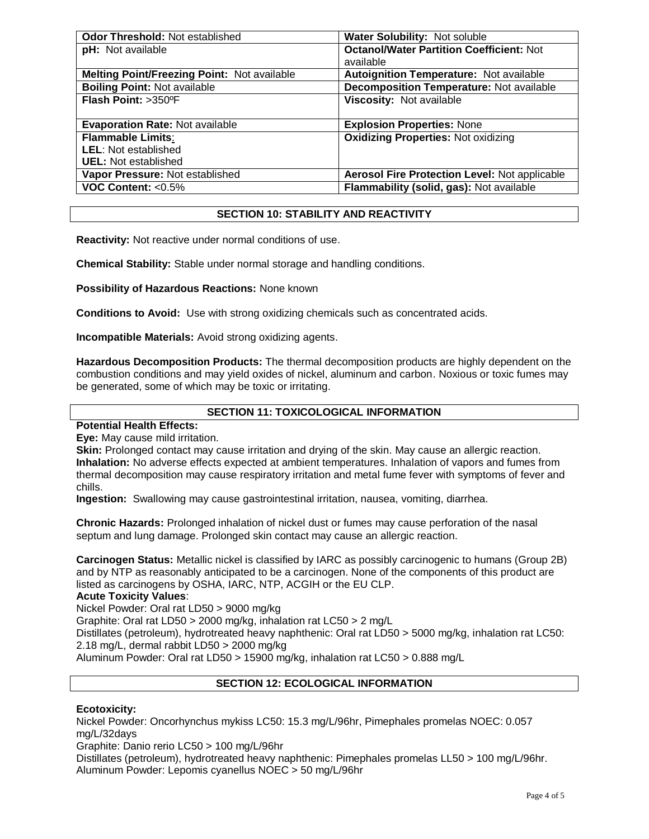| <b>Odor Threshold: Not established</b>      | Water Solubility: Not soluble                        |  |
|---------------------------------------------|------------------------------------------------------|--|
| pH: Not available                           | <b>Octanol/Water Partition Coefficient: Not</b>      |  |
|                                             | available                                            |  |
| Melting Point/Freezing Point: Not available | <b>Autoignition Temperature: Not available</b>       |  |
| <b>Boiling Point: Not available</b>         | <b>Decomposition Temperature: Not available</b>      |  |
| Flash Point: >350°F                         | Viscosity: Not available                             |  |
|                                             |                                                      |  |
| <b>Evaporation Rate: Not available</b>      | <b>Explosion Properties: None</b>                    |  |
| <b>Flammable Limits:</b>                    | <b>Oxidizing Properties: Not oxidizing</b>           |  |
| <b>LEL: Not established</b>                 |                                                      |  |
| <b>UEL:</b> Not established                 |                                                      |  |
| Vapor Pressure: Not established             | <b>Aerosol Fire Protection Level: Not applicable</b> |  |
| VOC Content: <0.5%                          | Flammability (solid, gas): Not available             |  |

# **SECTION 10: STABILITY AND REACTIVITY**

**Reactivity:** Not reactive under normal conditions of use.

**Chemical Stability:** Stable under normal storage and handling conditions.

**Possibility of Hazardous Reactions:** None known

**Conditions to Avoid:** Use with strong oxidizing chemicals such as concentrated acids.

**Incompatible Materials:** Avoid strong oxidizing agents.

**Hazardous Decomposition Products:** The thermal decomposition products are highly dependent on the combustion conditions and may yield oxides of nickel, aluminum and carbon. Noxious or toxic fumes may be generated, some of which may be toxic or irritating.

# **SECTION 11: TOXICOLOGICAL INFORMATION**

**Potential Health Effects:**

**Eye:** May cause mild irritation.

**Skin:** Prolonged contact may cause irritation and drying of the skin. May cause an allergic reaction. **Inhalation:** No adverse effects expected at ambient temperatures. Inhalation of vapors and fumes from thermal decomposition may cause respiratory irritation and metal fume fever with symptoms of fever and chills.

**Ingestion:** Swallowing may cause gastrointestinal irritation, nausea, vomiting, diarrhea.

**Chronic Hazards:** Prolonged inhalation of nickel dust or fumes may cause perforation of the nasal septum and lung damage. Prolonged skin contact may cause an allergic reaction.

**Carcinogen Status:** Metallic nickel is classified by IARC as possibly carcinogenic to humans (Group 2B) and by NTP as reasonably anticipated to be a carcinogen. None of the components of this product are listed as carcinogens by OSHA, IARC, NTP, ACGIH or the EU CLP.

# **Acute Toxicity Values**:

Nickel Powder: Oral rat LD50 > 9000 mg/kg

Graphite: Oral rat LD50 > 2000 mg/kg, inhalation rat LC50 > 2 mg/L

Distillates (petroleum), hydrotreated heavy naphthenic: Oral rat LD50 > 5000 mg/kg, inhalation rat LC50: 2.18 mg/L, dermal rabbit LD50 > 2000 mg/kg

Aluminum Powder: Oral rat LD50 > 15900 mg/kg, inhalation rat LC50 > 0.888 mg/L

# **SECTION 12: ECOLOGICAL INFORMATION**

# **Ecotoxicity:**

Nickel Powder: Oncorhynchus mykiss LC50: 15.3 mg/L/96hr, Pimephales promelas NOEC: 0.057 mg/L/32days

Graphite: Danio rerio LC50 > 100 mg/L/96hr

Distillates (petroleum), hydrotreated heavy naphthenic: Pimephales promelas LL50 > 100 mg/L/96hr. Aluminum Powder: Lepomis cyanellus NOEC > 50 mg/L/96hr